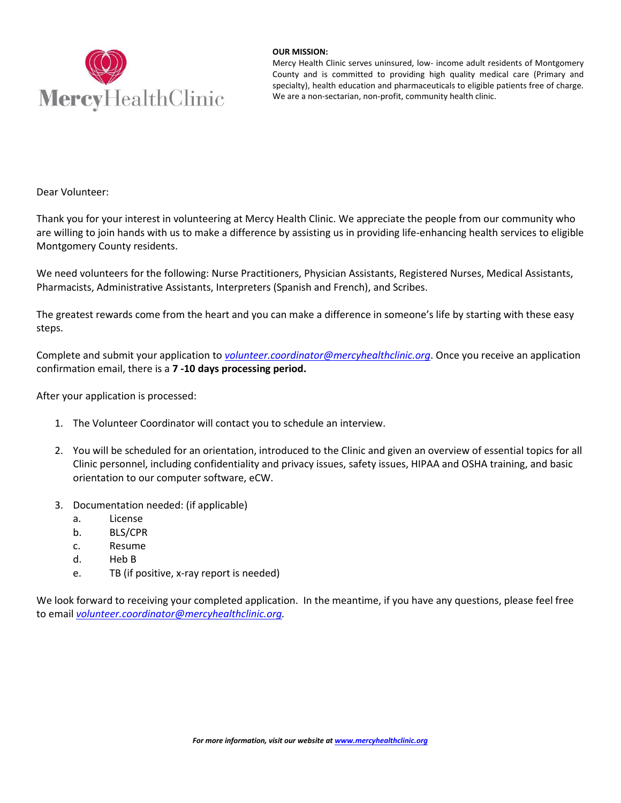

## **OUR MISSION:**

Mercy Health Clinic serves uninsured, low- income adult residents of Montgomery County and is committed to providing high quality medical care (Primary and specialty), health education and pharmaceuticals to eligible patients free of charge. We are a non-sectarian, non-profit, community health clinic.

Dear Volunteer:

Thank you for your interest in volunteering at Mercy Health Clinic. We appreciate the people from our community who are willing to join hands with us to make a difference by assisting us in providing life-enhancing health services to eligible Montgomery County residents.

We need volunteers for the following: Nurse Practitioners, Physician Assistants, Registered Nurses, Medical Assistants, Pharmacists, Administrative Assistants, Interpreters (Spanish and French), and Scribes.

The greatest rewards come from the heart and you can make a difference in someone's life by starting with these easy steps.

Complete and submit your application to *[volunteer.coordinator@mercyhealthclinic.org](mailto:volunteer.coordinator@mercyhealthclinic.org)*. Once you receive an application confirmation email, there is a **7 -10 days processing period.** 

After your application is processed:

- 1. The Volunteer Coordinator will contact you to schedule an interview.
- 2. You will be scheduled for an orientation, introduced to the Clinic and given an overview of essential topics for all Clinic personnel, including confidentiality and privacy issues, safety issues, HIPAA and OSHA training, and basic orientation to our computer software, eCW.
- 3. Documentation needed: (if applicable)
	- a. License
	- b. BLS/CPR
	- c. Resume
	- d. Heb B
	- e. TB (if positive, x-ray report is needed)

We look forward to receiving your completed application. In the meantime, if you have any questions, please feel free to email *[volunteer.coordinator@mercyhealthclinic.org.](mailto:volunteer.coordinator@mercyhealthclinic.org)*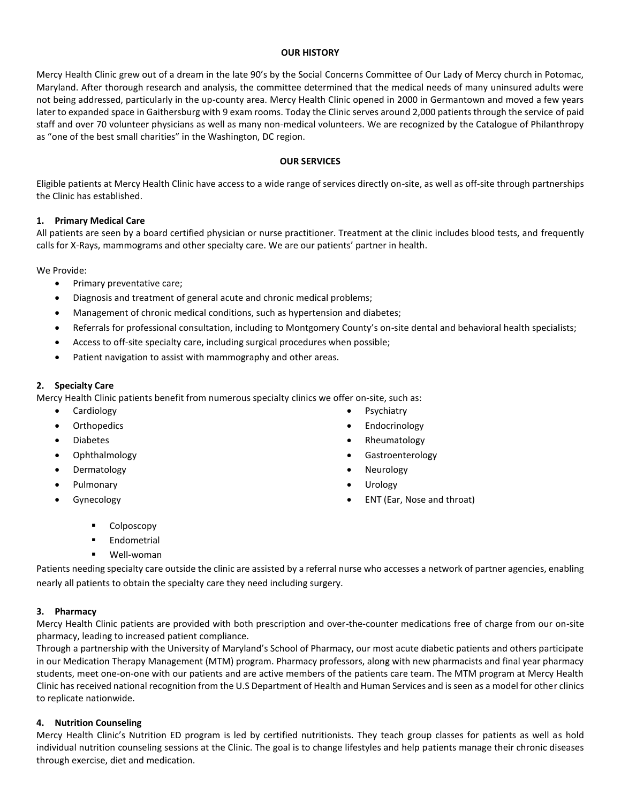# **OUR HISTORY**

Mercy Health Clinic grew out of a dream in the late 90's by the Social Concerns Committee of Our Lady of Mercy church in Potomac, Maryland. After thorough research and analysis, the committee determined that the medical needs of many uninsured adults were not being addressed, particularly in the up-county area. Mercy Health Clinic opened in 2000 in Germantown and moved a few years later to expanded space in Gaithersburg with 9 exam rooms. Today the Clinic serves around 2,000 patients through the service of paid staff and over 70 volunteer physicians as well as many non-medical volunteers. We are recognized by the Catalogue of Philanthropy as "one of the best small charities" in the Washington, DC region.

# **OUR SERVICES**

Eligible patients at Mercy Health Clinic have access to a wide range of services directly on-site, as well as off-site through partnerships the Clinic has established.

# **1. Primary Medical Care**

All patients are seen by a board certified physician or nurse practitioner. Treatment at the clinic includes blood tests, and frequently calls for X-Rays, mammograms and other specialty care. We are our patients' partner in health.

We Provide:

- Primary preventative care;
- Diagnosis and treatment of general acute and chronic medical problems;
- Management of chronic medical conditions, such as hypertension and diabetes;
- Referrals for professional consultation, including to Montgomery County's on-site dental and behavioral health specialists;
- Access to off-site specialty care, including surgical procedures when possible;
- Patient navigation to assist with mammography and other areas.

# **2. Specialty Care**

Mercy Health Clinic patients benefit from numerous specialty clinics we offer on-site, such as:

- Cardiology
- **Orthopedics**
- Diabetes
- Ophthalmology
- Dermatology
- Pulmonary
- Gynecology
- Psychiatry
- Endocrinology
- Rheumatology
- Gastroenterology
- Neurology
- Urology
- ENT (Ear, Nose and throat)

- Colposcopy
- **Endometrial**
- Well-woman

Patients needing specialty care outside the clinic are assisted by a referral nurse who accesses a network of partner agencies, enabling nearly all patients to obtain the specialty care they need including surgery.

## **3. Pharmacy**

Mercy Health Clinic patients are provided with both prescription and over-the-counter medications free of charge from our on-site pharmacy, leading to increased patient compliance.

Through a partnership with the University of Maryland's School of Pharmacy, our most acute diabetic patients and others participate in our Medication Therapy Management (MTM) program. Pharmacy professors, along with new pharmacists and final year pharmacy students, meet one-on-one with our patients and are active members of the patients care team. The MTM program at Mercy Health Clinic has received national recognition from the U.S Department of Health and Human Services and is seen as a model for other clinics to replicate nationwide.

## **4. Nutrition Counseling**

Mercy Health Clinic's Nutrition ED program is led by certified nutritionists. They teach group classes for patients as well as hold individual nutrition counseling sessions at the Clinic. The goal is to change lifestyles and help patients manage their chronic diseases through exercise, diet and medication.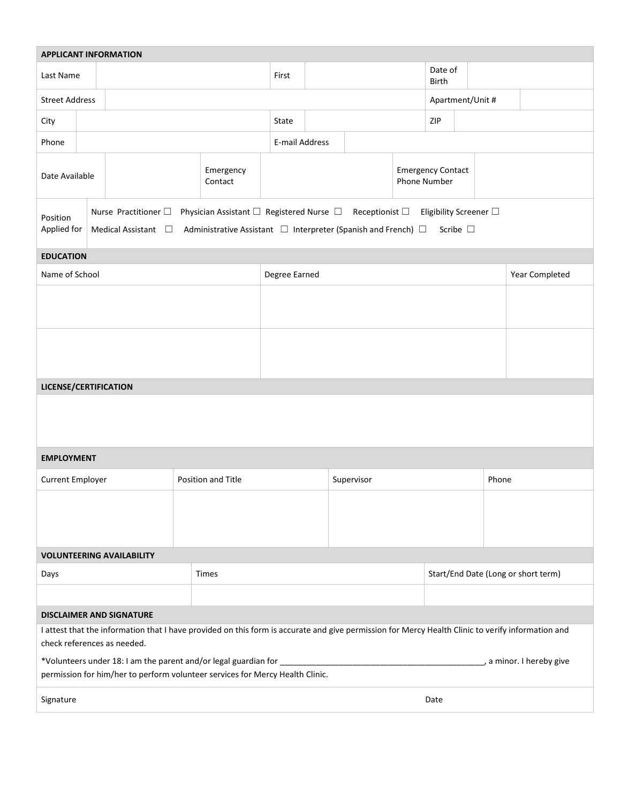| <b>APPLICANT INFORMATION</b>                                                                                                                                                     |                                                                                                                                                                                                                                                                          |  |            |                      |               |                                     |  |                  |                                                 |                  |                |  |  |  |
|----------------------------------------------------------------------------------------------------------------------------------------------------------------------------------|--------------------------------------------------------------------------------------------------------------------------------------------------------------------------------------------------------------------------------------------------------------------------|--|------------|----------------------|---------------|-------------------------------------|--|------------------|-------------------------------------------------|------------------|----------------|--|--|--|
| Last Name                                                                                                                                                                        |                                                                                                                                                                                                                                                                          |  |            | First                |               |                                     |  | Date of<br>Birth |                                                 |                  |                |  |  |  |
| <b>Street Address</b>                                                                                                                                                            |                                                                                                                                                                                                                                                                          |  |            |                      |               |                                     |  |                  |                                                 | Apartment/Unit # |                |  |  |  |
| City                                                                                                                                                                             |                                                                                                                                                                                                                                                                          |  |            | State                |               | ZIP                                 |  |                  |                                                 |                  |                |  |  |  |
| Phone                                                                                                                                                                            |                                                                                                                                                                                                                                                                          |  |            |                      |               | E-mail Address                      |  |                  |                                                 |                  |                |  |  |  |
| Date Available                                                                                                                                                                   |                                                                                                                                                                                                                                                                          |  |            | Emergency<br>Contact |               |                                     |  |                  | <b>Emergency Contact</b><br><b>Phone Number</b> |                  |                |  |  |  |
| Position                                                                                                                                                                         | Physician Assistant $\Box$ Registered Nurse $\Box$ Receptionist $\Box$<br>Nurse Practitioner $\square$<br>Eligibility Screener $\Box$<br>Applied for<br>Administrative Assistant □ Interpreter (Spanish and French) □<br>Medical Assistant $\square$<br>Scribe $\square$ |  |            |                      |               |                                     |  |                  |                                                 |                  |                |  |  |  |
| <b>EDUCATION</b>                                                                                                                                                                 |                                                                                                                                                                                                                                                                          |  |            |                      |               |                                     |  |                  |                                                 |                  |                |  |  |  |
| Name of School                                                                                                                                                                   |                                                                                                                                                                                                                                                                          |  |            |                      | Degree Earned |                                     |  |                  |                                                 |                  | Year Completed |  |  |  |
|                                                                                                                                                                                  |                                                                                                                                                                                                                                                                          |  |            |                      |               |                                     |  |                  |                                                 |                  |                |  |  |  |
|                                                                                                                                                                                  |                                                                                                                                                                                                                                                                          |  |            |                      |               |                                     |  |                  |                                                 |                  |                |  |  |  |
| LICENSE/CERTIFICATION                                                                                                                                                            |                                                                                                                                                                                                                                                                          |  |            |                      |               |                                     |  |                  |                                                 |                  |                |  |  |  |
|                                                                                                                                                                                  |                                                                                                                                                                                                                                                                          |  |            |                      |               |                                     |  |                  |                                                 |                  |                |  |  |  |
| <b>EMPLOYMENT</b>                                                                                                                                                                |                                                                                                                                                                                                                                                                          |  |            |                      |               |                                     |  |                  |                                                 |                  |                |  |  |  |
| Current Employer<br>Position and Title                                                                                                                                           |                                                                                                                                                                                                                                                                          |  | Supervisor |                      |               |                                     |  | Phone            |                                                 |                  |                |  |  |  |
|                                                                                                                                                                                  |                                                                                                                                                                                                                                                                          |  |            |                      |               |                                     |  |                  |                                                 |                  |                |  |  |  |
| <b>VOLUNTEERING AVAILABILITY</b>                                                                                                                                                 |                                                                                                                                                                                                                                                                          |  |            |                      |               |                                     |  |                  |                                                 |                  |                |  |  |  |
| Times<br>Days                                                                                                                                                                    |                                                                                                                                                                                                                                                                          |  |            |                      |               | Start/End Date (Long or short term) |  |                  |                                                 |                  |                |  |  |  |
|                                                                                                                                                                                  |                                                                                                                                                                                                                                                                          |  |            |                      |               |                                     |  |                  |                                                 |                  |                |  |  |  |
| <b>DISCLAIMER AND SIGNATURE</b>                                                                                                                                                  |                                                                                                                                                                                                                                                                          |  |            |                      |               |                                     |  |                  |                                                 |                  |                |  |  |  |
| I attest that the information that I have provided on this form is accurate and give permission for Mercy Health Clinic to verify information and<br>check references as needed. |                                                                                                                                                                                                                                                                          |  |            |                      |               |                                     |  |                  |                                                 |                  |                |  |  |  |
| permission for him/her to perform volunteer services for Mercy Health Clinic.                                                                                                    |                                                                                                                                                                                                                                                                          |  |            |                      |               |                                     |  |                  |                                                 |                  |                |  |  |  |
| Signature<br>Date                                                                                                                                                                |                                                                                                                                                                                                                                                                          |  |            |                      |               |                                     |  |                  |                                                 |                  |                |  |  |  |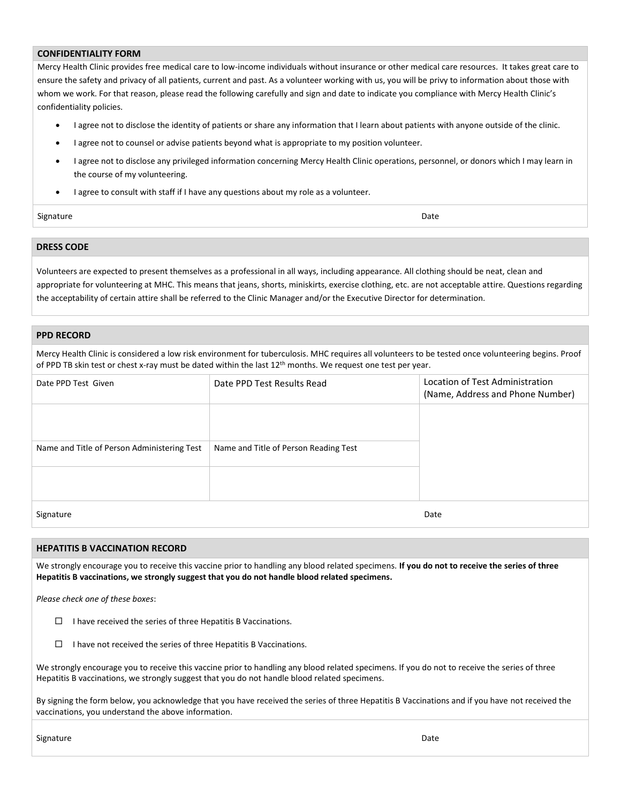### **CONFIDENTIALITY FORM**

Mercy Health Clinic provides free medical care to low-income individuals without insurance or other medical care resources. It takes great care to ensure the safety and privacy of all patients, current and past. As a volunteer working with us, you will be privy to information about those with whom we work. For that reason, please read the following carefully and sign and date to indicate you compliance with Mercy Health Clinic's confidentiality policies.

- I agree not to disclose the identity of patients or share any information that I learn about patients with anyone outside of the clinic.
- I agree not to counsel or advise patients beyond what is appropriate to my position volunteer.
- I agree not to disclose any privileged information concerning Mercy Health Clinic operations, personnel, or donors which I may learn in the course of my volunteering.
- I agree to consult with staff if I have any questions about my role as a volunteer.

#### Signature Date **Date of the Contract of Contract Contract of Contract Contract Contract Only and Date Only and D**

## **DRESS CODE**

Volunteers are expected to present themselves as a professional in all ways, including appearance. All clothing should be neat, clean and appropriate for volunteering at MHC. This means that jeans, shorts, miniskirts, exercise clothing, etc. are not acceptable attire. Questions regarding the acceptability of certain attire shall be referred to the Clinic Manager and/or the Executive Director for determination.

### **PPD RECORD**

Mercy Health Clinic is considered a low risk environment for tuberculosis. MHC requires all volunteers to be tested once volunteering begins. Proof of PPD TB skin test or chest x-ray must be dated within the last 12th months. We request one test per year.

| Date PPD Test Given                         | Date PPD Test Results Read            | Location of Test Administration<br>(Name, Address and Phone Number) |
|---------------------------------------------|---------------------------------------|---------------------------------------------------------------------|
|                                             |                                       |                                                                     |
| Name and Title of Person Administering Test | Name and Title of Person Reading Test |                                                                     |
|                                             |                                       |                                                                     |
| Signature                                   |                                       | Date                                                                |

# **HEPATITIS B VACCINATION RECORD**

We strongly encourage you to receive this vaccine prior to handling any blood related specimens. **If you do not to receive the series of three Hepatitis B vaccinations, we strongly suggest that you do not handle blood related specimens.**

*Please check one of these boxes*:

- $\Box$  I have received the series of three Hepatitis B Vaccinations.
- $\Box$  I have not received the series of three Hepatitis B Vaccinations.

We strongly encourage you to receive this vaccine prior to handling any blood related specimens. If you do not to receive the series of three Hepatitis B vaccinations, we strongly suggest that you do not handle blood related specimens.

By signing the form below, you acknowledge that you have received the series of three Hepatitis B Vaccinations and if you have not received the vaccinations, you understand the above information.

Signature Date **Date of the Contract of Contract Contract of Contract Contract Contract Only and Date Only and D**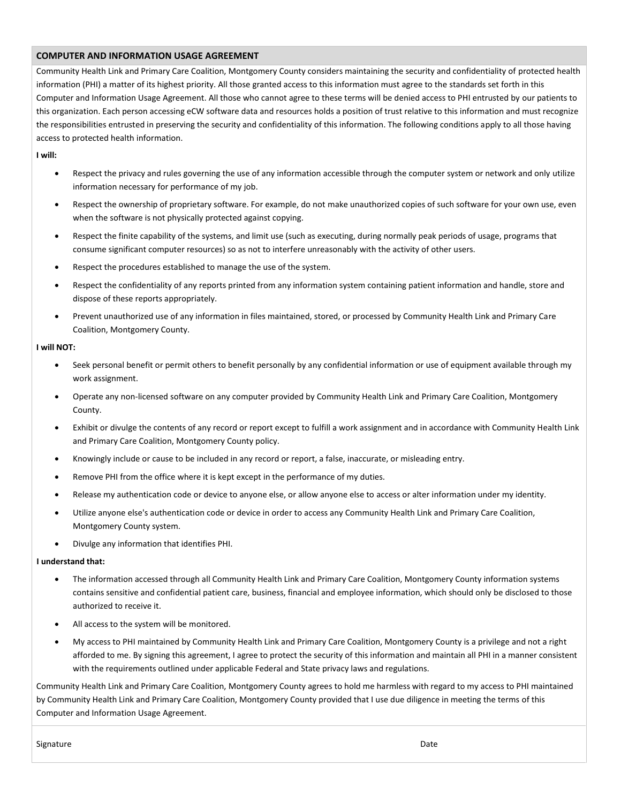### **COMPUTER AND INFORMATION USAGE AGREEMENT**

Community Health Link and Primary Care Coalition, Montgomery County considers maintaining the security and confidentiality of protected health information (PHI) a matter of its highest priority. All those granted access to this information must agree to the standards set forth in this Computer and Information Usage Agreement. All those who cannot agree to these terms will be denied access to PHI entrusted by our patients to this organization. Each person accessing eCW software data and resources holds a position of trust relative to this information and must recognize the responsibilities entrusted in preserving the security and confidentiality of this information. The following conditions apply to all those having access to protected health information.

**I will:**

- Respect the privacy and rules governing the use of any information accessible through the computer system or network and only utilize information necessary for performance of my job.
- Respect the ownership of proprietary software. For example, do not make unauthorized copies of such software for your own use, even when the software is not physically protected against copying.
- Respect the finite capability of the systems, and limit use (such as executing, during normally peak periods of usage, programs that consume significant computer resources) so as not to interfere unreasonably with the activity of other users.
- Respect the procedures established to manage the use of the system.
- Respect the confidentiality of any reports printed from any information system containing patient information and handle, store and dispose of these reports appropriately.
- Prevent unauthorized use of any information in files maintained, stored, or processed by Community Health Link and Primary Care Coalition, Montgomery County.

#### **I will NOT:**

- Seek personal benefit or permit others to benefit personally by any confidential information or use of equipment available through my work assignment.
- Operate any non-licensed software on any computer provided by Community Health Link and Primary Care Coalition, Montgomery County.
- Exhibit or divulge the contents of any record or report except to fulfill a work assignment and in accordance with Community Health Link and Primary Care Coalition, Montgomery County policy.
- Knowingly include or cause to be included in any record or report, a false, inaccurate, or misleading entry.
- Remove PHI from the office where it is kept except in the performance of my duties.
- Release my authentication code or device to anyone else, or allow anyone else to access or alter information under my identity.
- Utilize anyone else's authentication code or device in order to access any Community Health Link and Primary Care Coalition, Montgomery County system.
- Divulge any information that identifies PHI.

#### **I understand that:**

- The information accessed through all Community Health Link and Primary Care Coalition, Montgomery County information systems contains sensitive and confidential patient care, business, financial and employee information, which should only be disclosed to those authorized to receive it.
- All access to the system will be monitored.
- My access to PHI maintained by Community Health Link and Primary Care Coalition, Montgomery County is a privilege and not a right afforded to me. By signing this agreement, I agree to protect the security of this information and maintain all PHI in a manner consistent with the requirements outlined under applicable Federal and State privacy laws and regulations.

Community Health Link and Primary Care Coalition, Montgomery County agrees to hold me harmless with regard to my access to PHI maintained by Community Health Link and Primary Care Coalition, Montgomery County provided that I use due diligence in meeting the terms of this Computer and Information Usage Agreement.

Signature Date Date of the Contract of the Contract of the Contract of the Contract of the Date Date of the Date of the Date of the Date of the Date of the Date of the Date of the Date of the Date of the Date of the Date o